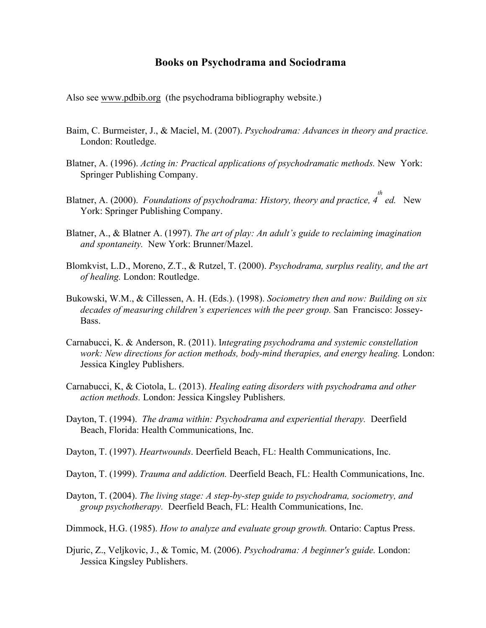## **Books on Psychodrama and Sociodrama**

Also see www.pdbib.org (the psychodrama bibliography website.)

- Baim, C. Burmeister, J., & Maciel, M. (2007). *Psychodrama: Advances in theory and practice.*  London: Routledge.
- Blatner, A. (1996). *Acting in: Practical applications of psychodramatic methods*. New York: Springer Publishing Company.
- Blatner, A. (2000). *Foundations of psychodrama: History, theory and practice, 4 th ed.* New York: Springer Publishing Company.
- Blatner, A., & Blatner A. (1997). *The art of play: An adult's guide to reclaiming imagination and spontaneity.* New York: Brunner/Mazel.
- Blomkvist, L.D., Moreno, Z.T., & Rutzel, T. (2000). *Psychodrama, surplus reality, and the art of healing.* London: Routledge.
- Bukowski, W.M., & Cillessen, A. H. (Eds.). (1998). *Sociometry then and now: Building on six decades of measuring children's experiences with the peer group.* San Francisco: Jossey-Bass.
- Carnabucci, K. & Anderson, R. (2011). I*ntegrating psychodrama and systemic constellation work: New directions for action methods, body-mind therapies, and energy healing.* London: Jessica Kingley Publishers.
- Carnabucci, K, & Ciotola, L. (2013). *Healing eating disorders with psychodrama and other action methods.* London: Jessica Kingsley Publishers.
- Dayton, T. (1994). *The drama within: Psychodrama and experiential therapy.* Deerfield Beach, Florida: Health Communications, Inc.
- Dayton, T. (1997). *Heartwounds*. Deerfield Beach, FL: Health Communications, Inc.
- Dayton, T. (1999). *Trauma and addiction.* Deerfield Beach, FL: Health Communications, Inc.
- Dayton, T. (2004). *The living stage: A step-by-step guide to psychodrama, sociometry, and group psychotherapy.* Deerfield Beach, FL: Health Communications, Inc.
- Dimmock, H.G. (1985). *How to analyze and evaluate group growth.* Ontario: Captus Press.
- Djuric, Z., Veljkovic, J., & Tomic, M. (2006). *Psychodrama: A beginner's guide.* London: Jessica Kingsley Publishers.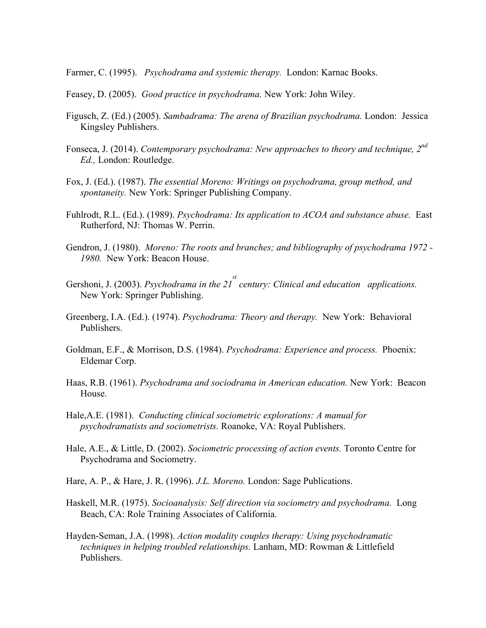Farmer, C. (1995). *Psychodrama and systemic therapy.* London: Karnac Books.

- Feasey, D. (2005). *Good practice in psychodrama.* New York: John Wiley.
- Figusch, Z. (Ed.) (2005). *Sambadrama: The arena of Brazilian psychodrama.* London: Jessica Kingsley Publishers.
- Fonseca, J. (2014). *Contemporary psychodrama: New approaches to theory and technique, 2nd Ed.,* London: Routledge.
- Fox, J. (Ed.). (1987). *The essential Moreno: Writings on psychodrama, group method, and spontaneity.* New York: Springer Publishing Company.
- Fuhlrodt, R.L. (Ed.). (1989). *Psychodrama: Its application to ACOA and substance abuse.* East Rutherford, NJ: Thomas W. Perrin.
- Gendron, J. (1980). *Moreno: The roots and branches; and bibliography of psychodrama 1972 - 1980.* New York: Beacon House.
- Gershoni, J. (2003). *Psychodrama in the 21*<sup>*st*</sup> century: Clinical and education applications. New York: Springer Publishing.
- Greenberg, I.A. (Ed.). (1974). *Psychodrama: Theory and therapy.* New York: Behavioral Publishers.
- Goldman, E.F., & Morrison, D.S. (1984). *Psychodrama: Experience and process.* Phoenix: Eldemar Corp.
- Haas, R.B. (1961). *Psychodrama and sociodrama in American education.* New York: Beacon House.
- Hale,A.E. (1981). *Conducting clinical sociometric explorations: A manual for psychodramatists and sociometrists.* Roanoke, VA: Royal Publishers.
- Hale, A.E., & Little, D. (2002). *Sociometric processing of action events.* Toronto Centre for Psychodrama and Sociometry.
- Hare, A. P., & Hare, J. R. (1996). *J.L. Moreno.* London: Sage Publications.
- Haskell, M.R. (1975). *Socioanalysis: Self direction via sociometry and psychodrama.* Long Beach, CA: Role Training Associates of California.
- Hayden-Seman, J.A. (1998). *Action modality couples therapy: Using psychodramatic techniques in helping troubled relationships.* Lanham, MD: Rowman & Littlefield Publishers.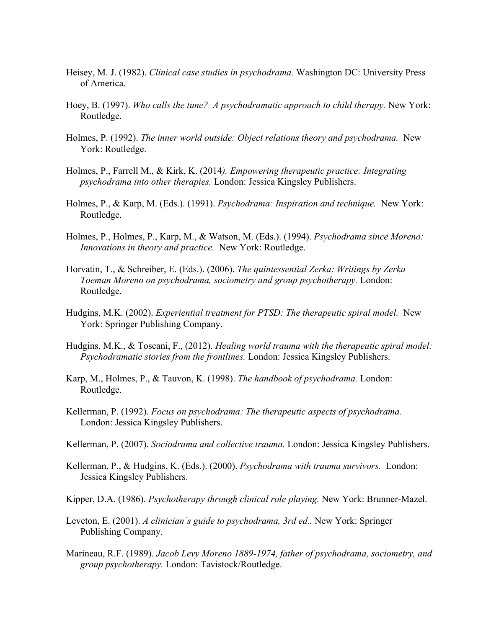- Heisey, M. J. (1982). *Clinical case studies in psychodrama.* Washington DC: University Press of America.
- Hoey, B. (1997). *Who calls the tune? A psychodramatic approach to child therapy.* New York: Routledge.
- Holmes, P. (1992). *The inner world outside: Object relations theory and psychodrama.* New York: Routledge.
- Holmes, P., Farrell M., & Kirk, K. (2014*). Empowering therapeutic practice: Integrating psychodrama into other therapies.* London: Jessica Kingsley Publishers.
- Holmes, P., & Karp, M. (Eds.). (1991). *Psychodrama: Inspiration and technique.* New York: Routledge.
- Holmes, P., Holmes, P., Karp, M., & Watson, M. (Eds.). (1994). *Psychodrama since Moreno: Innovations in theory and practice.* New York: Routledge.
- Horvatin, T., & Schreiber, E. (Eds.). (2006). *The quintessential Zerka: Writings by Zerka Toeman Moreno on psychodrama, sociometry and group psychotherapy.* London: Routledge.
- Hudgins, M.K. (2002). *Experiential treatment for PTSD: The therapeutic spiral model.* New York: Springer Publishing Company.
- Hudgins, M.K., & Toscani, F., (2012). *Healing world trauma with the therapeutic spiral model: Psychodramatic stories from the frontlines.* London: Jessica Kingsley Publishers.
- Karp, M., Holmes, P., & Tauvon, K. (1998). *The handbook of psychodrama.* London: Routledge.
- Kellerman, P. (1992). *Focus on psychodrama: The therapeutic aspects of psychodrama.*  London: Jessica Kingsley Publishers.
- Kellerman, P. (2007). *Sociodrama and collective trauma.* London: Jessica Kingsley Publishers.
- Kellerman, P., & Hudgins, K. (Eds.). (2000). *Psychodrama with trauma survivors.* London: Jessica Kingsley Publishers.
- Kipper, D.A. (1986). *Psychotherapy through clinical role playing.* New York: Brunner-Mazel.
- Leveton, E. (2001). *A clinician's guide to psychodrama, 3rd ed..* New York: Springer Publishing Company.
- Marineau, R.F. (1989). *Jacob Levy Moreno 1889-1974, father of psychodrama, sociometry, and group psychotherapy.* London: Tavistock/Routledge.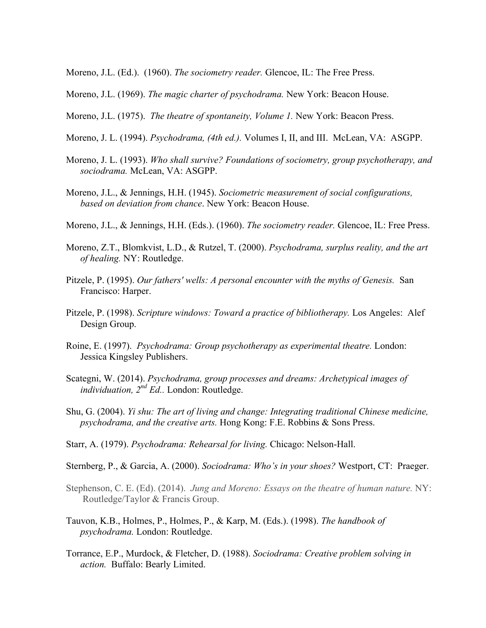- Moreno, J.L. (Ed.). (1960). *The sociometry reader.* Glencoe, IL: The Free Press.
- Moreno, J.L. (1969). *The magic charter of psychodrama.* New York: Beacon House.
- Moreno, J.L. (1975). *The theatre of spontaneity, Volume 1.* New York: Beacon Press.
- Moreno, J. L. (1994). *Psychodrama, (4th ed.).* Volumes I, II, and III. McLean, VA: ASGPP.
- Moreno, J. L. (1993). *Who shall survive? Foundations of sociometry, group psychotherapy, and sociodrama.* McLean, VA: ASGPP.
- Moreno, J.L., & Jennings, H.H. (1945). *Sociometric measurement of social configurations, based on deviation from chance*. New York: Beacon House.
- Moreno, J.L., & Jennings, H.H. (Eds.). (1960). *The sociometry reader.* Glencoe, IL: Free Press.
- Moreno, Z.T., Blomkvist, L.D., & Rutzel, T. (2000). *Psychodrama, surplus reality, and the art of healing.* NY: Routledge.
- Pitzele, P. (1995). *Our fathers' wells: A personal encounter with the myths of Genesis.* San Francisco: Harper.
- Pitzele, P. (1998). *Scripture windows: Toward a practice of bibliotherapy*. Los Angeles: Alef Design Group.
- Roine, E. (1997). *Psychodrama: Group psychotherapy as experimental theatre.* London: Jessica Kingsley Publishers.
- Scategni, W. (2014). *Psychodrama, group processes and dreams: Archetypical images of individuation, 2nd Ed..* London: Routledge.
- Shu, G. (2004). *Yi shu: The art of living and change: Integrating traditional Chinese medicine, psychodrama, and the creative arts.* Hong Kong: F.E. Robbins & Sons Press.
- Starr, A. (1979). *Psychodrama: Rehearsal for living.* Chicago: Nelson-Hall.
- Sternberg, P., & Garcia, A. (2000). *Sociodrama: Who's in your shoes?* Westport, CT: Praeger.
- Stephenson, C. E. (Ed). (2014). *Jung and Moreno: Essays on the theatre of human nature.* NY: Routledge/Taylor & Francis Group.
- Tauvon, K.B., Holmes, P., Holmes, P., & Karp, M. (Eds.). (1998). *The handbook of psychodrama.* London: Routledge.
- Torrance, E.P., Murdock, & Fletcher, D. (1988). *Sociodrama: Creative problem solving in action.* Buffalo: Bearly Limited.